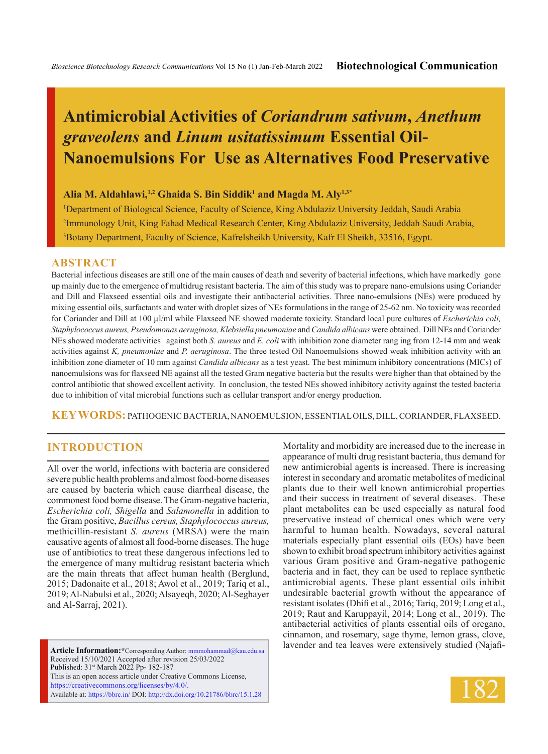# **Antimicrobial Activities of** *Coriandrum sativum***,** *Anethum graveolens* **and** *Linum usitatissimum* **Essential Oil-Nanoemulsions For Use as Alternatives Food Preservative**

#### **Alia M. Aldahlawi,1,2 Ghaida S. Bin Siddik1 and Magda M. Aly1,3\***

1 Department of Biological Science, Faculty of Science, King Abdulaziz University Jeddah, Saudi Arabia 2 Immunology Unit, King Fahad Medical Research Center, King Abdulaziz University, Jeddah Saudi Arabia, 3 Botany Department, Faculty of Science, Kafrelsheikh University, Kafr El Sheikh, 33516, Egypt.

#### **ABSTRACT**

Bacterial infectious diseases are still one of the main causes of death and severity of bacterial infections, which have markedly gone up mainly due to the emergence of multidrug resistant bacteria. The aim of this study was to prepare nano-emulsions using Coriander and Dill and Flaxseed essential oils and investigate their antibacterial activities. Three nano-emulsions (NEs) were produced by mixing essential oils, surfactants and water with droplet sizes of NEs formulations in the range of 25-62 nm. No toxicity was recorded for Coriander and Dill at 100 µl/ml while Flaxseed NE showed moderate toxicity. Standard local pure cultures of *Escherichia coli, Staphylococcus aureus, Pseudomonas aeruginosa, Klebsiella pneumoniae* and *Candida albicans* were obtained. Dill NEs and Coriander NEs showed moderate activities against both *S. aureus* and *E. coli* with inhibition zone diameter rang ing from 12-14 mm and weak activities against *K, pneumoniae* and *P. aeruginosa*. The three tested Oil Nanoemulsions showed weak inhibition activity with an inhibition zone diameter of 10 mm against *Candida albicans* as a test yeast. The best minimum inhibitory concentrations (MICs) of nanoemulsions was for flaxseed NE against all the tested Gram negative bacteria but the results were higher than that obtained by the control antibiotic that showed excellent activity. In conclusion, the tested NEs showed inhibitory activity against the tested bacteria due to inhibition of vital microbial functions such as cellular transport and/or energy production.

**KEY WORDS:** Pathogenic bacteria, Nanoemulsion, Essential oils, Dill, Coriander, Flaxseed.

## **INTRODUCTION**

All over the world, infections with bacteria are considered severe public health problems and almost food-borne diseases are caused by bacteria which cause diarrheal disease, the commonest food borne disease. The Gram-negative bacteria, *Escherichia coli, Shigella* and *Salamonella* in addition to the Gram positive, *Bacillus cereus, Staphylococcus aureus,*  methicillin-resistant *S. aureus* (MRSA) were the main causative agents of almost all food-borne diseases. The huge use of antibiotics to treat these dangerous infections led to the emergence of many multidrug resistant bacteria which are the main threats that affect human health (Berglund, 2015; Dadonaite et al., 2018; Awol et al., 2019; Tariq et al., 2019; Al-Nabulsi et al., 2020; Alsayeqh, 2020; Al-Seghayer and Al-Sarraj, 2021).

**Article Information:\***Corresponding Author: mmmohammad@kau.edu.sa Received 15/10/2021 Accepted after revision 25/03/2022 Published: 31st March 2022 Pp- 182-187 This is an open access article under Creative Commons License, https://creativecommons.org/licenses/by/4.0/. Available at: https://bbrc.in/ DOI: http://dx.doi.org/10.21786/bbrc/15.1.28

Mortality and morbidity are increased due to the increase in appearance of multi drug resistant bacteria, thus demand for new antimicrobial agents is increased. There is increasing interest in secondary and aromatic metabolites of medicinal plants due to their well known antimicrobial properties and their success in treatment of several diseases. These plant metabolites can be used especially as natural food preservative instead of chemical ones which were very harmful to human health. Nowadays, several natural materials especially plant essential oils (EOs) have been shown to exhibit broad spectrum inhibitory activities against various Gram positive and Gram-negative pathogenic bacteria and in fact, they can be used to replace synthetic antimicrobial agents. These plant essential oils inhibit undesirable bacterial growth without the appearance of resistant isolates (Dhifi et al., 2016; Tariq, 2019; Long et al., 2019; Raut and Karuppayil, 2014; Long et al., 2019). The antibacterial activities of plants essential oils of oregano, cinnamon, and rosemary, sage thyme, lemon grass, clove, lavender and tea leaves were extensively studied (Najafi-

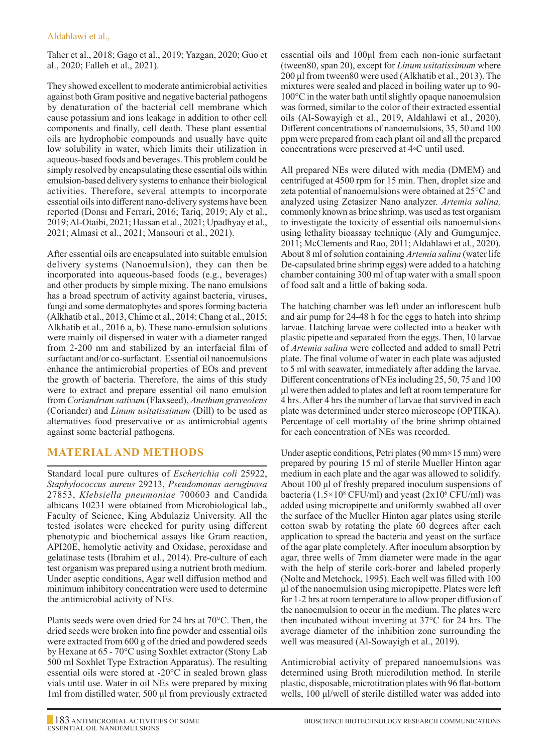### Aldahlawi et al.,

Taher et al., 2018; Gago et al., 2019; Yazgan, 2020; Guo et al., 2020; Falleh et al., 2021).

They showed excellent to moderate antimicrobial activities against both Gram positive and negative bacterial pathogens by denaturation of the bacterial cell membrane which cause potassium and ions leakage in addition to other cell components and finally, cell death. These plant essential oils are hydrophobic compounds and usually have quite low solubility in water, which limits their utilization in aqueous-based foods and beverages. This problem could be simply resolved by encapsulating these essential oils within emulsion-based delivery systems to enhance their biological activities. Therefore, several attempts to incorporate essential oils into different nano-delivery systems have been reported (Donsı and Ferrari, 2016; Tariq, 2019; Aly et al., 2019; Al-Otaibi, 2021; Hassan et al., 2021; Upadhyay et al., 2021; Almasi et al., 2021; Mansouri et al., 2021).

After essential oils are encapsulated into suitable emulsion delivery systems (Nanoemulsion), they can then be incorporated into aqueous-based foods (e.g., beverages) and other products by simple mixing. The nano emulsions has a broad spectrum of activity against bacteria, viruses, fungi and some dermatophytes and spores forming bacteria (Alkhatib et al., 2013, Chime et al., 2014; Chang et al., 2015; Alkhatib et al., 2016 a, b). These nano-emulsion solutions were mainly oil dispersed in water with a diameter ranged from 2-200 nm and stabilized by an interfacial film of surfactant and/or co-surfactant. Essential oil nanoemulsions enhance the antimicrobial properties of EOs and prevent the growth of bacteria. Therefore, the aims of this study were to extract and prepare essential oil nano emulsion from *Coriandrum sativum* (Flaxseed), *Anethum graveolens*  (Coriander) and *Linum usitatissimum* (Dill) to be used as alternatives food preservative or as antimicrobial agents against some bacterial pathogens.

## **MATERIAL AND METHODS**

Standard local pure cultures of *Escherichia coli* 25922, *Staphylococcus aureus* 29213, *Pseudomonas aeruginosa*  27853, *Klebsiella pneumoniae* 700603 and Candida albicans 10231 were obtained from Microbiological lab., Faculty of Science, King Abdulaziz University. All the tested isolates were checked for purity using different phenotypic and biochemical assays like Gram reaction, API20E, hemolytic activity and Oxidase, peroxidase and gelatinase tests (Ibrahim et al., 2014). Pre-culture of each test organism was prepared using a nutrient broth medium. Under aseptic conditions, Agar well diffusion method and minimum inhibitory concentration were used to determine the antimicrobial activity of NEs.

Plants seeds were oven dried for 24 hrs at 70°C. Then, the dried seeds were broken into fine powder and essential oils were extracted from 600 g of the dried and powdered seeds by Hexane at 65 - 70°C using Soxhlet extractor (Stony Lab 500 ml Soxhlet Type Extraction Apparatus). The resulting essential oils were stored at -20°C in sealed brown glass vials until use. Water in oil NEs were prepared by mixing 1ml from distilled water, 500 μl from previously extracted essential oils and 100μl from each non-ionic surfactant (tween80, span 20), except for *Linum usitatissimum* where 200 μl from tween80 were used (Alkhatib et al., 2013). The mixtures were sealed and placed in boiling water up to 90- 100°C in the water bath until slightly opaque nanoemulsion was formed, similar to the color of their extracted essential oils (Al-Sowayigh et al., 2019, Aldahlawi et al., 2020). Different concentrations of nanoemulsions, 35, 50 and 100 ppm were prepared from each plant oil and all the prepared concentrations were preserved at 4◦C until used.

All prepared NEs were diluted with media (DMEM) and centrifuged at 4500 rpm for 15 min. Then, droplet size and zeta potential of nanoemulsions were obtained at 25°C and analyzed using Zetasizer Nano analyzer. *Artemia salina,*  commonly known as brine shrimp, was used as test organism to investigate the toxicity of essential oils nanoemulsions using lethality bioassay technique (Aly and Gumgumjee, 2011; McClements and Rao, 2011; Aldahlawi et al., 2020). About 8 ml of solution containing *Artemia salina* (water life De-capsulated brine shrimp eggs) were added to a hatching chamber containing 300 ml of tap water with a small spoon of food salt and a little of baking soda.

The hatching chamber was left under an inflorescent bulb and air pump for 24-48 h for the eggs to hatch into shrimp larvae. Hatching larvae were collected into a beaker with plastic pipette and separated from the eggs. Then, 10 larvae of *Artemia salina* were collected and added to small Petri plate. The final volume of water in each plate was adjusted to 5 ml with seawater, immediately after adding the larvae. Different concentrations of NEs including 25, 50, 75 and 100 μl were then added to plates and left at room temperature for 4 hrs. After 4 hrs the number of larvae that survived in each plate was determined under stereo microscope (OPTIKA). Percentage of cell mortality of the brine shrimp obtained for each concentration of NEs was recorded.

Under aseptic conditions, Petri plates (90 mm×15 mm) were prepared by pouring 15 ml of sterile Mueller Hinton agar medium in each plate and the agar was allowed to solidify. About 100 μl of freshly prepared inoculum suspensions of bacteria (1.5×10<sup>8</sup> CFU/ml) and yeast (2x10<sup>6</sup> CFU/ml) was added using micropipette and uniformly swabbed all over the surface of the Mueller Hinton agar plates using sterile cotton swab by rotating the plate 60 degrees after each application to spread the bacteria and yeast on the surface of the agar plate completely. After inoculum absorption by agar, three wells of 7mm diameter were made in the agar with the help of sterile cork-borer and labeled properly (Nolte and Metchock, 1995). Each well was filled with 100 μl of the nanoemulsion using micropipette. Plates were left for 1-2 hrs at room temperature to allow proper diffusion of the nanoemulsion to occur in the medium. The plates were then incubated without inverting at 37°C for 24 hrs. The average diameter of the inhibition zone surrounding the well was measured (Al-Sowayigh et al., 2019).

Antimicrobial activity of prepared nanoemulsions was determined using Broth microdilution method. In sterile plastic, disposable, microtitration plates with 96 flat-bottom wells, 100 μl/well of sterile distilled water was added into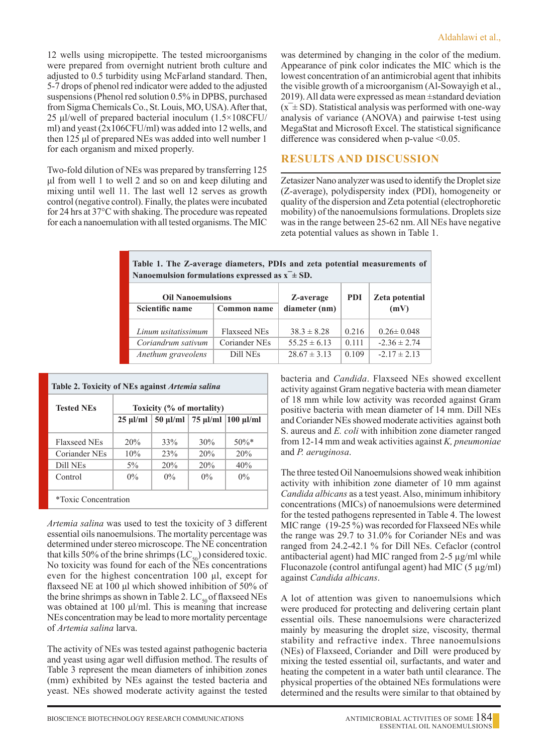12 wells using micropipette. The tested microorganisms were prepared from overnight nutrient broth culture and adjusted to 0.5 turbidity using McFarland standard. Then, 5-7 drops of phenol red indicator were added to the adjusted suspensions (Phenol red solution 0.5% in DPBS, purchased from Sigma Chemicals Co., St. Louis, MO, USA). After that, 25 μl/well of prepared bacterial inoculum (1.5×108CFU/ ml) and yeast (2x106CFU/ml) was added into 12 wells, and then 125 μl of prepared NEs was added into well number 1 for each organism and mixed properly.

Two-fold dilution of NEs was prepared by transferring 125 μl from well 1 to well 2 and so on and keep diluting and mixing until well 11. The last well 12 serves as growth control (negative control). Finally, the plates were incubated for 24 hrs at 37°C with shaking. The procedure was repeated for each a nanoemulation with all tested organisms. The MIC

## **RESULTS AND DISCUSSION**

Zetasizer Nano analyzer was used to identify the Droplet size (Z-average), polydispersity index (PDI), homogeneity or quality of the dispersion and Zeta potential (electrophoretic mobility) of the nanoemulsions formulations. Droplets size was in the range between 25-62 nm. All NEs have negative zeta potential values as shown in Table 1.

| Table 1. The Z-average diameters, PDIs and zeta potential measurements of<br>Nanoemulsion formulations expressed as $x^{\dagger} \pm SD$ . |                     |                  |            |                  |  |
|--------------------------------------------------------------------------------------------------------------------------------------------|---------------------|------------------|------------|------------------|--|
| <b>Oil Nanoemulsions</b>                                                                                                                   |                     | Z-average        | <b>PDI</b> | Zeta potential   |  |
| Scientific name                                                                                                                            | Common name         | diameter (nm)    |            | (mV)             |  |
| Linum usitatissimum                                                                                                                        | <b>Flaxseed NEs</b> | $38.3 \pm 8.28$  | 0.216      | $0.26 \pm 0.048$ |  |
| Coriandrum sativum                                                                                                                         | Coriander NEs       | $55.25 \pm 6.13$ | 0.111      | $-2.36 \pm 2.74$ |  |
| Anethum graveolens                                                                                                                         | Dill NEs            | $28.67 \pm 3.13$ | 0.109      | $-2.17 \pm 2.13$ |  |

| <b>Tested NEs</b>           | Table 2. Toxicity of NEs against Artemia salina<br>Toxicity (% of mortality) |       |       |                                                |  |
|-----------------------------|------------------------------------------------------------------------------|-------|-------|------------------------------------------------|--|
|                             | $25 \text{ }\mu\text{J/ml}$                                                  |       |       | $50 \mu$ l/ml   75 $\mu$ l/ml   100 $\mu$ l/ml |  |
| Flaxseed NEs                | 20%                                                                          | 33%   | 30%   | $50\%$ *                                       |  |
| Coriander NEs               | 10%                                                                          | 23%   | 20%   | 20%                                            |  |
| Dill NEs                    | $5\%$                                                                        | 20%   | 20%   | 40%                                            |  |
| Control                     | $0\%$                                                                        | $0\%$ | $0\%$ | $0\%$                                          |  |
| <i>*Toxic Concentration</i> |                                                                              |       |       |                                                |  |

*Artemia salina* was used to test the toxicity of 3 different essential oils nanoemulsions. The mortality percentage was determined under stereo microscope. The NE concentration that kills 50% of the brine shrimps  $(LC_{50})$  considered toxic. No toxicity was found for each of the NEs concentrations even for the highest concentration 100 μl, except for flaxseed NE at 100 μl which showed inhibition of 50% of the brine shrimps as shown in Table 2.  $LC_{50}$  of flaxseed NEs was obtained at 100 μl/ml. This is meaning that increase NEs concentration may be lead to more mortality percentage of *Artemia salina* larva.

The activity of NEs was tested against pathogenic bacteria and yeast using agar well diffusion method. The results of Table 3 represent the mean diameters of inhibition zones (mm) exhibited by NEs against the tested bacteria and yeast. NEs showed moderate activity against the tested bacteria and *Candida*. Flaxseed NEs showed excellent activity against Gram negative bacteria with mean diameter of 18 mm while low activity was recorded against Gram positive bacteria with mean diameter of 14 mm. Dill NEs and Coriander NEs showed moderate activities against both S. aureus and *E. coli* with inhibition zone diameter ranged from 12-14 mm and weak activities against *K, pneumoniae*  and *P. aeruginosa*.

The three tested Oil Nanoemulsions showed weak inhibition activity with inhibition zone diameter of 10 mm against *Candida albicans* as a test yeast. Also, minimum inhibitory concentrations (MICs) of nanoemulsions were determined for the tested pathogens represented in Table 4. The lowest MIC range (19-25 %) was recorded for Flaxseed NEs while the range was 29.7 to 31.0% for Coriander NEs and was ranged from 24.2-42.1 % for Dill NEs. Cefaclor (control antibacterial agent) had MIC ranged from 2-5 µg/ml while Fluconazole (control antifungal agent) had MIC  $(5 \mu g/ml)$ against *Candida albicans*.

A lot of attention was given to nanoemulsions which were produced for protecting and delivering certain plant essential oils. These nanoemulsions were characterized mainly by measuring the droplet size, viscosity, thermal stability and refractive index. Three nanoemulsions (NEs) of Flaxseed, Coriander and Dill were produced by mixing the tested essential oil, surfactants, and water and heating the competent in a water bath until clearance. The physical properties of the obtained NEs formulations were determined and the results were similar to that obtained by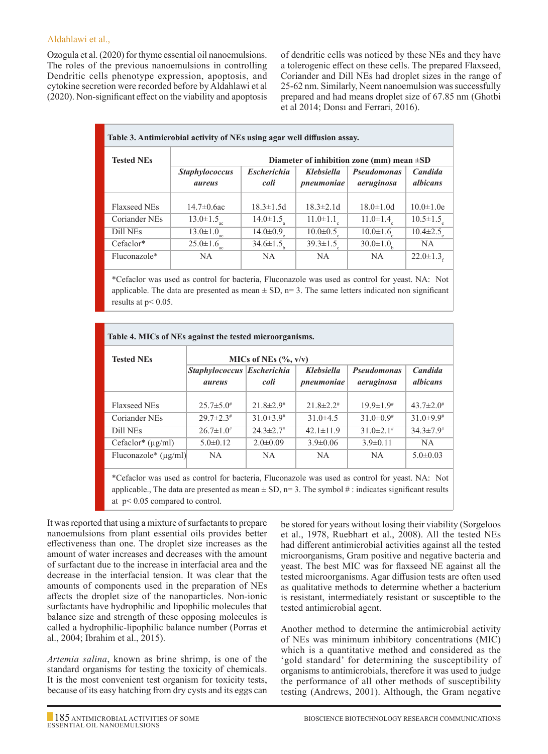#### Aldahlawi et al.,

Ozogula et al. (2020) for thyme essential oil nanoemulsions. The roles of the previous nanoemulsions in controlling Dendritic cells phenotype expression, apoptosis, and cytokine secretion were recorded before by Aldahlawi et al (2020). Non-significant effect on the viability and apoptosis of dendritic cells was noticed by these NEs and they have a tolerogenic effect on these cells. The prepared Flaxseed, Coriander and Dill NEs had droplet sizes in the range of 25-62 nm. Similarly, Neem nanoemulsion was successfully prepared and had means droplet size of 67.85 nm (Ghotbi et al 2014; Donsı and Ferrari, 2016).

| Table 3. Antimicrobial activity of NEs using agar well diffusion assay. |                                                |                             |                                 |                                  |                                   |  |
|-------------------------------------------------------------------------|------------------------------------------------|-----------------------------|---------------------------------|----------------------------------|-----------------------------------|--|
| <b>Tested NEs</b>                                                       | Diameter of inhibition zone (mm) mean $\pm SD$ |                             |                                 |                                  |                                   |  |
|                                                                         | <b>Staphylococcus</b><br>aureus                | <b>Escherichia</b><br>coli  | <b>Klebsiella</b><br>pneumoniae | <b>Pseudomonas</b><br>aeruginosa | <b>Candida</b><br><i>albicans</i> |  |
| Flaxseed NEs                                                            | $14.7 \pm 0.6$ ac                              | $18.3 \pm 1.5d$             | $18.3 \pm 2.1 d$                | $18.0 \pm 1.0 d$                 | $10.0 \pm 1.0e$                   |  |
| Coriander NEs                                                           | $13.0 \pm 1.5$ <sub>ac</sub>                   | $14.0 \pm 1.5$ <sub>s</sub> | $11.0 \pm 1.1$ <sub>c</sub>     | $11.0 \pm 1.4$                   | $10.5 \pm 1.5$                    |  |
| Dill NEs                                                                | $13.0 \pm 1.0_{ac}$                            | $14.0 \pm 0.9$              | $10.0 \pm 0.5$                  | $10.0 \pm 1.6$                   | $10.4 \pm 2.5$                    |  |
| Cefaclor*                                                               | $25.0 \pm 1.6$ <sub>ac</sub>                   | $34.6 \pm 1.5$              | $39.3 \pm 1.5$                  | $30.0 \pm 1.0$                   | NA.                               |  |
| Fluconazole*                                                            | NA.                                            | NA.                         | <b>NA</b>                       | <b>NA</b>                        | $22.0 \pm 1.3$                    |  |

\*Cefaclor was used as control for bacteria, Fluconazole was used as control for yeast. NA: Not applicable. The data are presented as mean  $\pm$  SD, n= 3. The same letters indicated non significant results at p< 0.05.

| Table 4. MICs of NEs against the tested microorganisms.                                                                                                                                                                                         |                                      |                           |                             |                                  |                                   |  |
|-------------------------------------------------------------------------------------------------------------------------------------------------------------------------------------------------------------------------------------------------|--------------------------------------|---------------------------|-----------------------------|----------------------------------|-----------------------------------|--|
| <b>Tested NEs</b>                                                                                                                                                                                                                               | MICs of NEs $(\% , v/v)$             |                           |                             |                                  |                                   |  |
|                                                                                                                                                                                                                                                 | Staphylococcus Escherichia<br>aureus | coli                      | Klebsiella<br>pneumoniae    | <b>Pseudomonas</b><br>aeruginosa | <b>Candida</b><br><i>albicans</i> |  |
| <b>Flaxseed NEs</b>                                                                                                                                                                                                                             | $25.7 \pm 5.0^{\#}$                  | $21.8 \pm 2.9$            | $21.8 \pm 2.2$ <sup>#</sup> | $19.9 \pm 1.9$ <sup>#</sup>      | $43.7 \pm 2.0^{\#}$               |  |
| Coriander NEs                                                                                                                                                                                                                                   | $29.7 \pm 2.3$ #                     | $31.0\pm3.9$ <sup>#</sup> | $31.0\pm4.5$                | $31.0\pm0.9$ <sup>#</sup>        | $31.0\pm9.9$ <sup>#</sup>         |  |
| Dill NEs                                                                                                                                                                                                                                        | $26.7 \pm 1.0^{\#}$                  | $24.3 \pm 2.7^{\#}$       | $42.1 \pm 11.9$             | $31.0\pm2.1$ #                   | $34.3 \pm 7.9$ <sup>#</sup>       |  |
| Cefaclor <sup>*</sup> $(\mu g/ml)$                                                                                                                                                                                                              | $5.0 \pm 0.12$                       | $2.0 \pm 0.09$            | $3.9 \pm 0.06$              | $3.9 \pm 0.11$                   | NA.                               |  |
| Fluconazole* $(\mu g/ml)$                                                                                                                                                                                                                       | NA.                                  | NA.                       | NA.                         | NA.                              | $5.0 \pm 0.03$                    |  |
| *Cefaclor was used as control for bacteria, Fluconazole was used as control for yeast. NA: Not<br>applicable., The data are presented as mean $\pm$ SD, n= 3. The symbol #: indicates significant results<br>at $p < 0.05$ compared to control. |                                      |                           |                             |                                  |                                   |  |

It was reported that using a mixture of surfactants to prepare nanoemulsions from plant essential oils provides better effectiveness than one. The droplet size increases as the amount of water increases and decreases with the amount of surfactant due to the increase in interfacial area and the decrease in the interfacial tension. It was clear that the amounts of components used in the preparation of NEs affects the droplet size of the nanoparticles. Non-ionic surfactants have hydrophilic and lipophilic molecules that balance size and strength of these opposing molecules is called a hydrophilic-lipophilic balance number (Porras et al., 2004; Ibrahim et al., 2015).

*Artemia salina*, known as brine shrimp, is one of the standard organisms for testing the toxicity of chemicals. It is the most convenient test organism for toxicity tests, because of its easy hatching from dry cysts and its eggs can be stored for years without losing their viability (Sorgeloos et al., 1978, Ruebhart et al., 2008). All the tested NEs had different antimicrobial activities against all the tested microorganisms, Gram positive and negative bacteria and yeast. The best MIC was for flaxseed NE against all the tested microorganisms. Agar diffusion tests are often used as qualitative methods to determine whether a bacterium is resistant, intermediately resistant or susceptible to the tested antimicrobial agent.

Another method to determine the antimicrobial activity of NEs was minimum inhibitory concentrations (MIC) which is a quantitative method and considered as the 'gold standard' for determining the susceptibility of organisms to antimicrobials, therefore it was used to judge the performance of all other methods of susceptibility testing (Andrews, 2001). Although, the Gram negative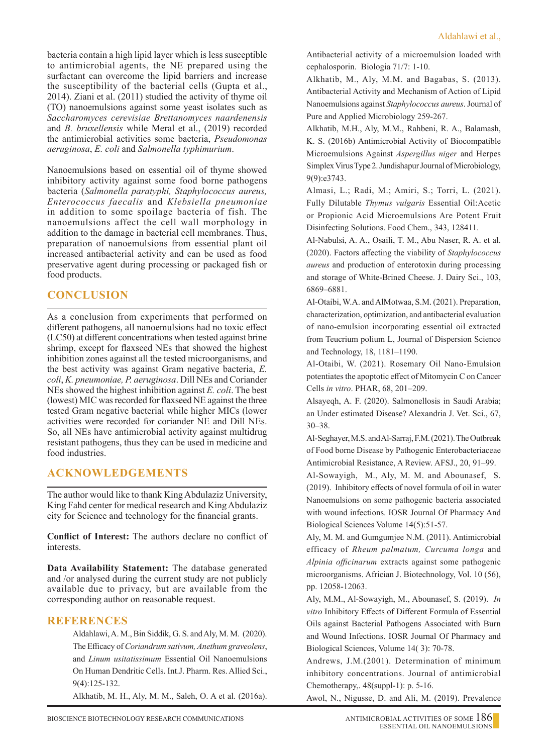bacteria contain a high lipid layer which is less susceptible to antimicrobial agents, the NE prepared using the surfactant can overcome the lipid barriers and increase the susceptibility of the bacterial cells (Gupta et al., 2014). Ziani et al. (2011) studied the activity of thyme oil (TO) nanoemulsions against some yeast isolates such as *Saccharomyces cerevisiae Brettanomyces naardenensis*  and *B. bruxellensis* while Meral et al., (2019) recorded the antimicrobial activities some bacteria, *Pseudomonas aeruginosa*, *E. coli* and *Salmonella typhimurium*.

Nanoemulsions based on essential oil of thyme showed inhibitory activity against some food borne pathogens bacteria (*Salmonella paratyphi, Staphylococcus aureus, Enterococcus faecalis* and *Klebsiella pneumoniae*  in addition to some spoilage bacteria of fish. The nanoemulsions affect the cell wall morphology in addition to the damage in bacterial cell membranes. Thus, preparation of nanoemulsions from essential plant oil increased antibacterial activity and can be used as food preservative agent during processing or packaged fish or food products.

# **CONCLUSION**

As a conclusion from experiments that performed on different pathogens, all nanoemulsions had no toxic effect (LC50) at different concentrations when tested against brine shrimp, except for flaxseed NEs that showed the highest inhibition zones against all the tested microorganisms, and the best activity was against Gram negative bacteria, *E. coli*, *K. pneumoniae, P. aeruginosa*. Dill NEs and Coriander NEs showed the highest inhibition against *E. coli*. The best (lowest) MIC was recorded for flaxseed NE against the three tested Gram negative bacterial while higher MICs (lower activities were recorded for coriander NE and Dill NEs. So, all NEs have antimicrobial activity against multidrug resistant pathogens, thus they can be used in medicine and food industries.

# **ACKNOWLEDGEMENTS**

The author would like to thank King Abdulaziz University, King Fahd center for medical research and King Abdulaziz city for Science and technology for the financial grants.

**Conflict of Interest:** The authors declare no conflict of interests.

**Data Availability Statement:** The database generated and /or analysed during the current study are not publicly available due to privacy, but are available from the corresponding author on reasonable request.

## **REFERENCES**

Aldahlawi, A. M., Bin Siddik, G. S. and Aly, M. M. (2020). The Efficacy of *Coriandrum sativum, Anethum graveolens*, and *Linum usitatissimum* Essential Oil Nanoemulsions On Human Dendritic Cells. Int.J. Pharm. Res. Allied Sci., 9(4):125-132.

Alkhatib, M. H., Aly, M. M., Saleh, O. A et al. (2016a).

Antibacterial activity of a microemulsion loaded with cephalosporin. Biologia 71/7: 1-10.

 Alkhatib, M., Aly, M.M. and Bagabas, S. (2013). Antibacterial Activity and Mechanism of Action of Lipid Nanoemulsions against *Staphylococcus aureus*. Journal of Pure and Applied Microbiology 259-267.

 Alkhatib, M.H., Aly, M.M., Rahbeni, R. A., Balamash, K. S. (2016b) Antimicrobial Activity of Biocompatible Microemulsions Against *Aspergillus niger* and Herpes Simplex Virus Type 2. Jundishapur Journal of Microbiology, 9(9):e3743.

 Almasi, L.; Radi, M.; Amiri, S.; Torri, L. (2021). Fully Dilutable *Thymus vulgaris* Essential Oil:Acetic or Propionic Acid Microemulsions Are Potent Fruit Disinfecting Solutions. Food Chem., 343, 128411.

 Al-Nabulsi, A. A., Osaili, T. M., Abu Naser, R. A. et al. (2020). Factors affecting the viability of *Staphylococcus aureus* and production of enterotoxin during processing and storage of White-Brined Cheese. J. Dairy Sci., 103, 6869–6881.

Al-Otaibi, W.A. and AlMotwaa, S.M. (2021). Preparation, characterization, optimization, and antibacterial evaluation of nano-emulsion incorporating essential oil extracted from Teucrium polium L, Journal of Dispersion Science and Technology, 18, 1181–1190.

 Al-Otaibi, W. (2021). Rosemary Oil Nano-Emulsion potentiates the apoptotic effect of Mitomycin C on Cancer Cells *in vitro*. PHAR, 68, 201–209.

Alsayeqh, A. F. (2020). Salmonellosis in Saudi Arabia; an Under estimated Disease? Alexandria J. Vet. Sci., 67, 30–38.

Al-Seghayer, M.S. and Al-Sarraj, F.M. (2021). The Outbreak of Food borne Disease by Pathogenic Enterobacteriaceae Antimicrobial Resistance, A Review. AFSJ., 20, 91–99.

Al-Sowayigh, M., Aly, M. M. and Abounasef, S. (2019). Inhibitory effects of novel formula of oil in water Nanoemulsions on some pathogenic bacteria associated with wound infections. IOSR Journal Of Pharmacy And Biological Sciences Volume 14(5):51-57.

 Aly, M. M. and Gumgumjee N.M. (2011). Antimicrobial efficacy of *Rheum palmatum, Curcuma longa* and *Alpinia officinarum* extracts against some pathogenic microorganisms. Africian J. Biotechnology, Vol. 10 (56), pp. 12058-12063.

Aly, M.M., Al-Sowayigh, M., Abounasef, S. (2019). *In vitro* Inhibitory Effects of Different Formula of Essential Oils against Bacterial Pathogens Associated with Burn and Wound Infections. IOSR Journal Of Pharmacy and Biological Sciences, Volume 14( 3): 70-78.

Andrews, J.M.(2001). Determination of minimum inhibitory concentrations. Journal of antimicrobial Chemotherapy,. 48(suppl-1): p. 5-16.

Awol, N., Nigusse, D. and Ali, M. (2019). Prevalence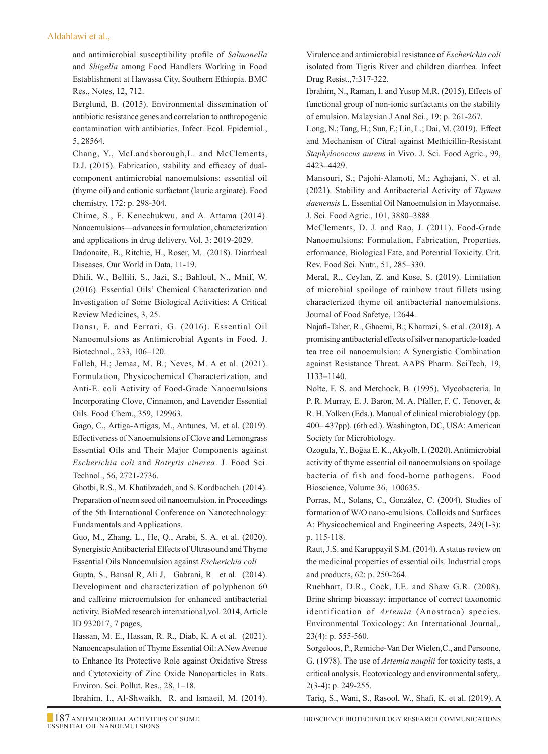#### Aldahlawi et al.,

and antimicrobial susceptibility profile of *Salmonella* and *Shigella* among Food Handlers Working in Food Establishment at Hawassa City, Southern Ethiopia. BMC Res., Notes, 12, 712.

Berglund, B. (2015). Environmental dissemination of antibiotic resistance genes and correlation to anthropogenic contamination with antibiotics. Infect. Ecol. Epidemiol., 5, 28564.

 Chang, Y., McLandsborough,L. and McClements, D.J. (2015). Fabrication, stability and efficacy of dualcomponent antimicrobial nanoemulsions: essential oil (thyme oil) and cationic surfactant (lauric arginate). Food chemistry, 172: p. 298-304.

 Chime, S., F. Kenechukwu, and A. Attama (2014). Nanoemulsions—advances in formulation, characterization and applications in drug delivery, Vol. 3: 2019-2029.

Dadonaite, B., Ritchie, H., Roser, M. (2018). Diarrheal Diseases. Our World in Data, 11-19.

Dhifi, W., Bellili, S., Jazi, S.; Bahloul, N., Mnif, W. (2016). Essential Oils' Chemical Characterization and Investigation of Some Biological Activities: A Critical Review Medicines, 3, 25.

Donsı, F. and Ferrari, G. (2016). Essential Oil Nanoemulsions as Antimicrobial Agents in Food. J. Biotechnol., 233, 106–120.

Falleh, H.; Jemaa, M. B.; Neves, M. A et al. (2021). Formulation, Physicochemical Characterization, and Anti-E. coli Activity of Food-Grade Nanoemulsions Incorporating Clove, Cinnamon, and Lavender Essential Oils. Food Chem., 359, 129963.

Gago, C., Artiga-Artigas, M., Antunes, M. et al. (2019). Effectiveness of Nanoemulsions of Clove and Lemongrass Essential Oils and Their Major Components against *Escherichia coli* and *Botrytis cinerea*. J. Food Sci. Technol., 56, 2721-2736.

Ghotbi, R.S., M. Khatibzadeh, and S. Kordbacheh. (2014). Preparation of neem seed oil nanoemulsion. in Proceedings of the 5th International Conference on Nanotechnology: Fundamentals and Applications.

Guo, M., Zhang, L., He, Q., Arabi, S. A. et al. (2020). Synergistic Antibacterial Effects of Ultrasound and Thyme Essential Oils Nanoemulsion against *Escherichia coli*

Gupta, S., Bansal R, Ali J, Gabrani, R et al. (2014). Development and characterization of polyphenon 60 and caffeine microemulsion for enhanced antibacterial activity. BioMed research international,vol. 2014, Article ID 932017, 7 pages,

 Hassan, M. E., Hassan, R. R., Diab, K. A et al. (2021). Nanoencapsulation of Thyme Essential Oil: A New Avenue to Enhance Its Protective Role against Oxidative Stress and Cytotoxicity of Zinc Oxide Nanoparticles in Rats. Environ. Sci. Pollut. Res., 28, 1–18.

Ibrahim, I., Al-Shwaikh, R. and Ismaeil, M. (2014).

Virulence and antimicrobial resistance of *Escherichia coli* isolated from Tigris River and children diarrhea. Infect Drug Resist.,7:317-322.

 Ibrahim, N., Raman, I. and Yusop M.R. (2015), Effects of functional group of non-ionic surfactants on the stability of emulsion. Malaysian J Anal Sci., 19: p. 261-267.

 Long, N.; Tang, H.; Sun, F.; Lin, L.; Dai, M. (2019). Effect and Mechanism of Citral against Methicillin-Resistant *Staphylococcus aureus* in Vivo. J. Sci. Food Agric., 99, 4423–4429.

Mansouri, S.; Pajohi-Alamoti, M.; Aghajani, N. et al. (2021). Stability and Antibacterial Activity of *Thymus daenensis* L. Essential Oil Nanoemulsion in Mayonnaise. J. Sci. Food Agric., 101, 3880–3888.

 McClements, D. J. and Rao, J. (2011). Food-Grade Nanoemulsions: Formulation, Fabrication, Properties, erformance, Biological Fate, and Potential Toxicity. Crit. Rev. Food Sci. Nutr., 51, 285–330.

 Meral, R., Ceylan, Z. and Kose, S. (2019). Limitation of microbial spoilage of rainbow trout fillets using characterized thyme oil antibacterial nanoemulsions. Journal of Food Safetye, 12644.

Najafi-Taher, R., Ghaemi, B.; Kharrazi, S. et al. (2018). A promising antibacterial effects of silver nanoparticle-loaded tea tree oil nanoemulsion: A Synergistic Combination against Resistance Threat. AAPS Pharm. SciTech, 19, 1133–1140.

Nolte, F. S. and Metchock, B. (1995). Mycobacteria. In P. R. Murray, E. J. Baron, M. A. Pfaller, F. C. Tenover, & R. H. Yolken (Eds.). Manual of clinical microbiology (pp. 400– 437pp). (6th ed.). Washington, DC, USA: American Society for Microbiology.

 Ozogula, Y., Boğaa E. K., Akyolb, I. (2020). Antimicrobial activity of thyme essential oil nanoemulsions on spoilage bacteria of fish and food-borne pathogens. Food Bioscience, Volume 36, 100635.

Porras, M., Solans, C., González, C. (2004). Studies of formation of W/O nano-emulsions. Colloids and Surfaces A: Physicochemical and Engineering Aspects, 249(1-3): p. 115-118.

 Raut, J.S. and Karuppayil S.M. (2014). A status review on the medicinal properties of essential oils. Industrial crops and products, 62: p. 250-264.

 Ruebhart, D.R., Cock, I.E. and Shaw G.R. (2008). Brine shrimp bioassay: importance of correct taxonomic identification of *Artemia* (Anostraca) species. Environmental Toxicology: An International Journal,. 23(4): p. 555-560.

 Sorgeloos, P., Remiche-Van Der Wielen,C., and Persoone, G. (1978). The use of *Artemia nauplii* for toxicity tests, a critical analysis. Ecotoxicology and environmental safety,. 2(3-4): p. 249-255.

Tariq, S., Wani, S., Rasool, W., Shafi, K. et al. (2019). A